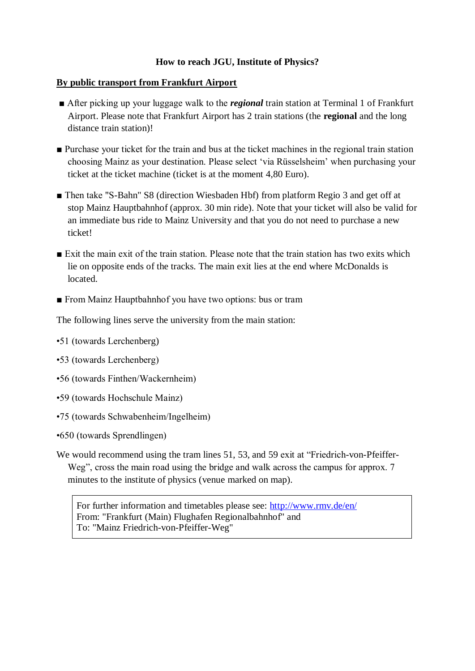## **How to reach JGU, Institute of Physics?**

### **By public transport from Frankfurt Airport**

- After picking up your luggage walk to the *regional* train station at Terminal 1 of Frankfurt Airport. Please note that Frankfurt Airport has 2 train stations (the **regional** and the long distance train station)!
- Purchase your ticket for the train and bus at the ticket machines in the regional train station choosing Mainz as your destination. Please select 'via Rüsselsheim' when purchasing your ticket at the ticket machine (ticket is at the moment 4,80 Euro).
- Then take "S-Bahn" S8 (direction Wiesbaden Hbf) from platform Regio 3 and get off at stop Mainz Hauptbahnhof (approx. 30 min ride). Note that your ticket will also be valid for an immediate bus ride to Mainz University and that you do not need to purchase a new ticket!
- Exit the main exit of the train station. Please note that the train station has two exits which lie on opposite ends of the tracks. The main exit lies at the end where McDonalds is located.
- From Mainz Hauptbahnhof you have two options: bus or tram

The following lines serve the university from the main station:

- •51 (towards Lerchenberg)
- •53 (towards Lerchenberg)
- •56 (towards Finthen/Wackernheim)
- •59 (towards Hochschule Mainz)
- •75 (towards Schwabenheim/Ingelheim)
- •650 (towards Sprendlingen)
- We would recommend using the tram lines 51, 53, and 59 exit at "Friedrich-von-Pfeiffer-Weg", cross the main road using the bridge and walk across the campus for approx. 7 minutes to the institute of physics (venue marked on map).

For further information and timetables please see:<http://www.rmv.de/en/> From: "Frankfurt (Main) Flughafen Regionalbahnhof" and To: "Mainz Friedrich-von-Pfeiffer-Weg"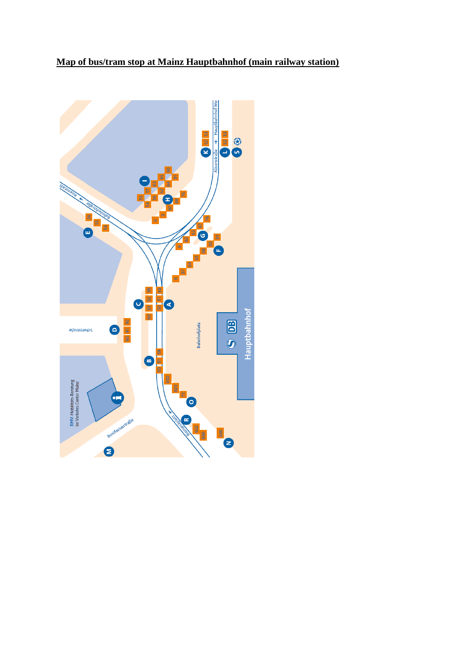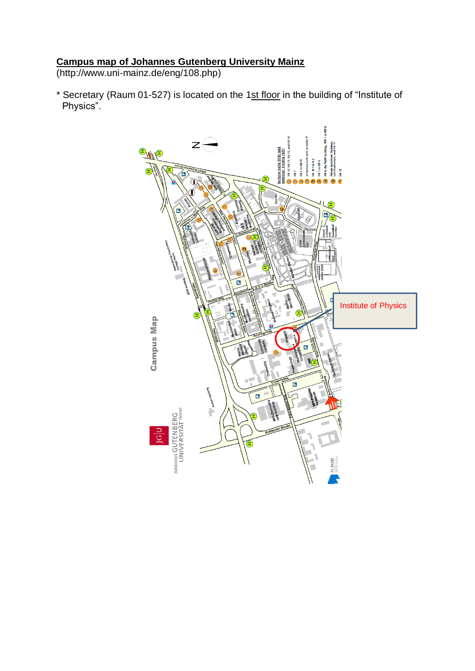#### **Campus map of Johannes Gutenberg University Mainz**

(http://www.uni-mainz.de/eng/108.php)

\* Secretary (Raum 01-527) is located on the 1st floor in the building of "Institute of Physics".